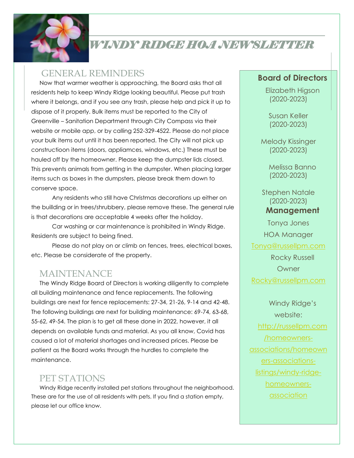

# *WINDY RIDGE HOA NEWSLETTER*

### GENERAL REMINDERS

Now that warmer weather is approaching, the Board asks that all residents help to keep Windy Ridge looking beautiful. Please put trash where it belongs, and if you see any trash, please help and pick it up to dispose of it properly. Bulk items must be reported to the City of Greenville – Sanitation Department through City Compass via their website or mobile app, or by calling 252-329-4522. Please do not place your bulk items out until it has been reported. The City will not pick up constructioon items (doors, appliamces, windows, etc.) These must be hauled off by the homeowner. Please keep the dumpster lids closed. This prevents animals from getting in the dumpster. When placing larger items such as boxes in the dumpsters, please break them down to conserve space.

Any residents who still have Christmas decorations up either on the buillding or in trees/shrubbery, please remove these. The general rule is that decorations are acceptable 4 weeks after the holiday.

Car washing or car maintenance is prohibited in Windy Ridge. Residents are subject to being fined.

Please do not play on or climb on fences, trees, electrical boxes, etc. Please be considerate of the property.

## MAINTENANCE

The Windy Ridge Board of Directors is working diligently to complete all building maintenance and fence replacements. The following buildings are next for fence replacements: 27-34, 21-26, 9-14 and 42-48. The following buildings are next for building maintenance: 69-74, 63-68, 55-62, 49-54. The plan is to get all these done in 2022, however, it all depends on available funds and material. As you all know, Covid has caused a lot of material shortages and increased prices. Please be patient as the Board works through the hurdles to complete the maintenance.

## PET STATIONS

Windy Ridge recently installed pet stations throughout the neighborhood. These are for the use of all residents with pets. If you find a station empty, please let our office know.

#### **Board of Directors**

Elizabeth Higson (2020-2023)

Susan Keller (2020-2023)

Melody Kissinger (2020-2023)

> Melissa Banno (2020-2023)

Stephen Natale (2020-2023)

#### **Management**

Tonya Jones HOA Manager

[Tonya@russellpm.com](mailto:Tonya@russellpm.com)

Rocky Russell **Owner** 

[Rocky@russellpm.com](mailto:Rocky@russellpm.com) 

Windy Ridge's website: [http://russellpm.com](http://russellpm.com/homeowners-associations/homeowners-associations-listings/windy-ridge-homeowners-association) [/homeowners](http://russellpm.com/homeowners-associations/homeowners-associations-listings/windy-ridge-homeowners-association)[associations/homeown](http://russellpm.com/homeowners-associations/homeowners-associations-listings/windy-ridge-homeowners-association) [ers-associations](http://russellpm.com/homeowners-associations/homeowners-associations-listings/windy-ridge-homeowners-association)[listings/windy-ridge](http://russellpm.com/homeowners-associations/homeowners-associations-listings/windy-ridge-homeowners-association)[homeowners](http://russellpm.com/homeowners-associations/homeowners-associations-listings/windy-ridge-homeowners-association)[association](http://russellpm.com/homeowners-associations/homeowners-associations-listings/windy-ridge-homeowners-association)